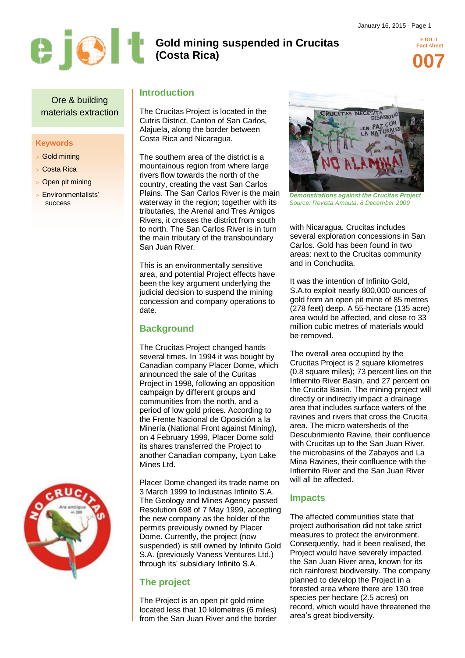

# **Gold mining suspended in Crucitas (Costa Rica)**

**EJOLT Fact sheet 007**

Ore & building materials extraction

#### **Keywords**

- Gold mining
- Costa Rica
- Open pit mining
- Environmentalists' success

## **Introduction**

The Crucitas Project is located in the Cutris District, Canton of San Carlos, Alajuela, along the border between Costa Rica and Nicaragua.

The southern area of the district is a mountainous region from where large rivers flow towards the north of the country, creating the vast San Carlos Plains. The San Carlos River is the main waterway in the region; together with its tributaries, the Arenal and Tres Amigos Rivers, it crosses the district from south to north. The San Carlos River is in turn the main tributary of the transboundary San Juan River.

This is an environmentally sensitive area, and potential Project effects have been the key argument underlying the judicial decision to suspend the mining concession and company operations to date.

## **Background**

The Crucitas Project changed hands several times. In 1994 it was bought by Canadian company Placer Dome, which announced the sale of the Curitas Project in 1998, following an opposition campaign by different groups and communities from the north, and a period of low gold prices. According to the Frente Nacional de Oposición a la Minería (National Front against Mining), on 4 February 1999, Placer Dome sold its shares transferred the Project to another Canadian company, Lyon Lake Mines Ltd.

Placer Dome changed its trade name on 3 March 1999 to Industrias Infinito S.A. The Geology and Mines Agency passed Resolution 698 of 7 May 1999, accepting the new company as the holder of the permits previously owned by Placer Dome. Currently, the project (now suspended) is still owned by Infinito Gold S.A. (previously Vaness Ventures Ltd.) through its' subsidiary Infinito S.A.

## **The project**

The Project is an open pit gold mine located less that 10 kilometres (6 miles) from the San Juan River and the border



*Demonstrations against the Crucitas Project Source: Revista Amauta, 8 December 2009*

with Nicaragua. Crucitas includes several exploration concessions in San Carlos. Gold has been found in two areas: next to the Crucitas community and in Conchudita.

It was the intention of Infinito Gold, S.A.to exploit nearly 800,000 ounces of gold from an open pit mine of 85 metres (278 feet) deep. A 55-hectare (135 acre) area would be affected, and close to 33 million cubic metres of materials would be removed.

The overall area occupied by the Crucitas Project is 2 square kilometres (0.8 square miles); 73 percent lies on the Infiernito River Basin, and 27 percent on the Crucita Basin. The mining project will directly or indirectly impact a drainage area that includes surface waters of the ravines and rivers that cross the Crucita area. The micro watersheds of the Descubrimiento Ravine, their confluence with Crucitas up to the San Juan River, the microbasins of the Zabayos and La Mina Ravines, their confluence with the Infiernito River and the San Juan River will all be affected.

### **Impacts**

The affected communities state that project authorisation did not take strict measures to protect the environment. Consequently, had it been realised, the Project would have severely impacted the San Juan River area, known for its rich rainforest biodiversity. The company planned to develop the Project in a forested area where there are 130 tree species per hectare (2.5 acres) on record, which would have threatened the area's great biodiversity.

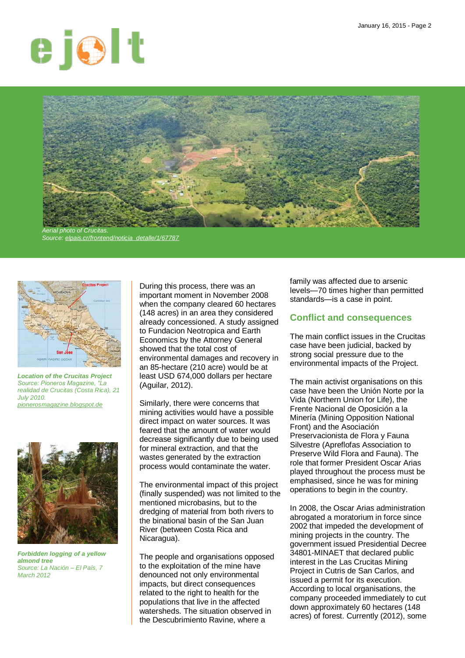



*Source[: elpais.cr/frontend/noticia\\_detalle/1/67787](http://www.elpais.cr/frontend/noticia_detalle/1/67787)*



*Location of the Crucitas Project Source: Pioneros Magazine, "La realidad de Crucitas (Costa Rica), 21 July 2010. [pionerosmagazine.blogspot.de](http://pionerosmagazine.blogspot.de/2010/07/la-realidad-de-crucitas-costa-rica.html)*



*Forbidden logging of a yellow almond tree Source: La Nación – El País, 7 March 2012*

During this process, there was an important moment in November 2008 when the company cleared 60 hectares (148 acres) in an area they considered already concessioned. A study assigned to Fundacion Neotropica and Earth Economics by the Attorney General showed that the total cost of environmental damages and recovery in an 85-hectare (210 acre) would be at least USD 674,000 dollars per hectare (Aguilar, 2012).

Similarly, there were concerns that mining activities would have a possible direct impact on water sources. It was feared that the amount of water would decrease significantly due to being used for mineral extraction, and that the wastes generated by the extraction process would contaminate the water.

The environmental impact of this project (finally suspended) was not limited to the mentioned microbasins, but to the dredging of material from both rivers to the binational basin of the San Juan River (between Costa Rica and Nicaragua).

The people and organisations opposed to the exploitation of the mine have denounced not only environmental impacts, but direct consequences related to the right to health for the populations that live in the affected watersheds. The situation observed in the Descubrimiento Ravine, where a

family was affected due to arsenic levels—70 times higher than permitted standards—is a case in point.

### **Conflict and consequences**

The main conflict issues in the Crucitas case have been judicial, backed by strong social pressure due to the environmental impacts of the Project.

The main activist organisations on this case have been the Unión Norte por la Vida (Northern Union for Life), the Frente Nacional de Oposición a la Minería (Mining Opposition National Front) and the Asociación Preservacionista de Flora y Fauna Silvestre (Apreflofas Association to Preserve Wild Flora and Fauna). The role that former President Oscar Arias played throughout the process must be emphasised, since he was for mining operations to begin in the country.

In 2008, the Oscar Arias administration abrogated a moratorium in force since 2002 that impeded the development of mining projects in the country. The government issued Presidential Decree 34801-MINAET that declared public interest in the Las Crucitas Mining Project in Cutris de San Carlos, and issued a permit for its execution. According to local organisations, the company proceeded immediately to cut down approximately 60 hectares (148 acres) of forest. Currently (2012), some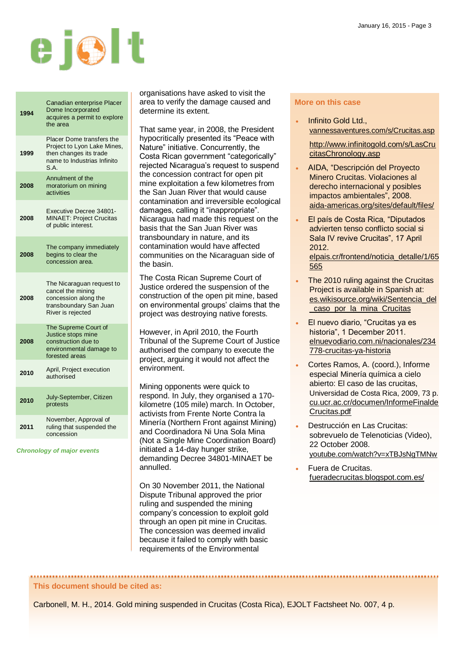

| 1994 | Canadian enterprise Placer<br>Dome Incorporated<br>acquires a permit to explore<br>the area                               |
|------|---------------------------------------------------------------------------------------------------------------------------|
| 1999 | Placer Dome transfers the<br>Project to Lyon Lake Mines,<br>then changes its trade<br>name to Industrias Infinito<br>S.A. |
| 2008 | Annulment of the<br>moratorium on mining<br>activities                                                                    |
| 2008 | Executive Decree 34801-<br><b>MINAET: Project Crucitas</b><br>of public interest.                                         |
| 2008 | The company immediately<br>begins to clear the<br>concession area.                                                        |
| 2008 | The Nicaraguan request to<br>cancel the mining<br>concession along the<br>transboundary San Juan<br>River is rejected     |
| 2008 | The Supreme Court of<br>Justice stops mine<br>construction due to<br>environmental damage to<br>forested areas            |
| 2010 | April, Project execution<br>authorised                                                                                    |
| 2010 | July-September, Citizen<br>protests                                                                                       |
| 2011 | November, Approval of<br>ruling that suspended the<br>concession                                                          |
|      |                                                                                                                           |

*Chronology of major events*

organisations have asked to visit the area to verify the damage caused and determine its extent.

That same year, in 2008, the President hypocritically presented its "Peace with Nature" initiative. Concurrently, the Costa Rican government "categorically" rejected Nicaragua's request to suspend the concession contract for open pit mine exploitation a few kilometres from the San Juan River that would cause contamination and irreversible ecological damages, calling it "inappropriate". Nicaragua had made this request on the basis that the San Juan River was transboundary in nature, and its contamination would have affected communities on the Nicaraguan side of the basin.

The Costa Rican Supreme Court of Justice ordered the suspension of the construction of the open pit mine, based on environmental groups' claims that the project was destroying native forests.

However, in April 2010, the Fourth Tribunal of the Supreme Court of Justice authorised the company to execute the project, arguing it would not affect the environment.

Mining opponents were quick to respond. In July, they organised a 170 kilometre (105 mile) march. In October, activists from Frente Norte Contra la Minería (Northern Front against Mining) and Coordinadora Ni Una Sola Mina (Not a Single Mine Coordination Board) initiated a 14-day hunger strike, demanding Decree 34801-MINAET be annulled.

On 30 November 2011, the National Dispute Tribunal approved the prior ruling and suspended the mining company's concession to exploit gold through an open pit mine in Crucitas. The concession was deemed invalid because it failed to comply with basic requirements of the Environmental

#### **More on this case**

 Infinito Gold Ltd., [vannessaventures.com/s/Crucitas.asp](http://www.vannessaventures.com/s/Crucitas.asp)

[http://www.infinitogold.com/s/LasCru](http://www.infinitogold.com/s/LasCrucitasChronology.asp) [citasChronology.asp](http://www.infinitogold.com/s/LasCrucitasChronology.asp)

- AIDA, "Descripción del Proyecto Minero Crucitas. Violaciones al derecho internacional y posibles impactos ambientales", 2008. [aida-americas.org/sites/default/files/](http://www.aida-americas.org/sites/default/files/ANEXO%20No.%201-%20ANALISIS%20DE%20IMPACTOS%20CRUCITAS_0.pdf)
- El país de Costa Rica, "Diputados advierten tenso conflicto social si Sala IV revive Crucitas", 17 April 2012. [elpais.cr/frontend/noticia\\_detalle/1/65](http://www.elpais.cr/frontend/noticia_detalle/1/65565) [565](http://www.elpais.cr/frontend/noticia_detalle/1/65565)
- The 2010 ruling against the Crucitas Project is available in Spanish at: [es.wikisource.org/wiki/Sentencia\\_del](http://es.wikisource.org/wiki/Sentencia_del_caso_por_la_mina_Crucitas) [\\_caso\\_por\\_la\\_mina\\_Crucitas](http://es.wikisource.org/wiki/Sentencia_del_caso_por_la_mina_Crucitas)
- El nuevo diario, "Crucitas ya es historia", 1 December 2011. [elnuevodiario.com.ni/nacionales/234](http://www.elnuevodiario.com.ni/nacionales/234778-crucitas-ya-historia) [778-crucitas-ya-historia](http://www.elnuevodiario.com.ni/nacionales/234778-crucitas-ya-historia)
- Cortes Ramos, A. (coord.), Informe especial Minería química a cielo abierto: El caso de las crucitas, Universidad de Costa Rica, 2009, 73 p. [cu.ucr.ac.cr/documen/InformeFinalde](http://cu.ucr.ac.cr/documen/InformeFinaldeCrucitas.pdf) [Crucitas.pdf](http://cu.ucr.ac.cr/documen/InformeFinaldeCrucitas.pdf)
- Destrucción en Las Crucitas: sobrevuelo de Telenoticias (Video), 22 October 2008. [youtube.com/watch?v=xTBJsNgTMNw](http://www.youtube.com/watch?v=xTBJsNgTMNw)
- Fuera de Crucitas. [fueradecrucitas.blogspot.com.es/](http://www.fueradecrucitas.blogspot.com.es/)

# **This document should be cited as:**

Carbonell, M. H., 2014. Gold mining suspended in Crucitas (Costa Rica), EJOLT Factsheet No. 007, 4 p.